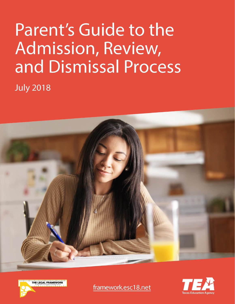# Parent's Guide to the Admission, Review, and Dismissal Process

**July 2018** 







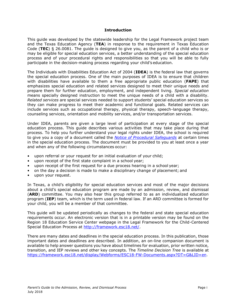#### **Introduction**

<span id="page-2-0"></span>This guide was developed by the statewide leadership for the Legal Framework project team and the Texas Education Agency (**TEA**) in response to the requirement in Texas Education Code (**TEC**) § 26.0081. The guide is designed to give you, as the parent of a child who is or may be eligible for special education services, a better understanding of the special education process and of your procedural rights and responsibilities so that you will be able to fully participate in the decision-making process regarding your child's education.

The Individuals with Disabilities Education Act of 2004 (**IDEA**) is the federal law that governs the special education process. One of the main purposes of IDEA is to ensure that children with disabilities have available to them a free appropriate public education (**FAPE**) that emphasizes special education and related services designed to meet their unique needs and prepare them for further education, employment, and independent living. *Special education*  means specially designed instruction to meet the unique needs of a child with a disability. *Related services* are special services needed to support students' special education services so they can make progress to meet their academic and functional goals. Related services can include services such as occupational therapy, physical therapy, speech-language therapy, counseling services, orientation and mobility services, and/or transportation services.

Under IDEA, parents are given a large level of participation at every stage of the special education process. This guide describes various activities that may take place during that process. To help you further understand your legal rights under IDEA, the school is required to give you a copy of a document called the *[Notice of Procedural Safeguards](http://framework.esc18.net/)* at certain times in the special education process. The document must be provided to you at least once a year and when any of the following circumstances occur:

- upon referral or your request for an initial evaluation of your child;
- upon receipt of the first state complaint in a school year;
- upon receipt of the first request for a due process hearing in a school year;
- on the day a decision is made to make a disciplinary change of placement; and
- upon your request.

In Texas, a child's eligibility for special education services and most of the major decisions about a child's special education program are made by an admission, review, and dismissal (**ARD**) committee. You may also hear this group referred to as an individualized education program (**IEP**) team, which is the term used in federal law. If an ARD committee is formed for your child, you will be a member of that committee.

This guide will be updated periodically as changes to the federal and state special education requirements occur. An electronic version that is in a printable version may be found on the Region 18 Education Service Center webpage in the Legal Framework for the Child-Centered Special Education Process at [http://framework.esc18.net/.](http://framework.esc18.net/)

There are many dates and deadlines in the special education process. In this publication, those important dates and deadlines are described. In addition, an on-line companion document is available to help answer questions you have about timelines for evaluation, prior written notice, transition, and IEP reviews and other key concepts. The *Timeline Decision Tree* is available at [https://framework.esc18.net/display/Webforms/ESC18-FW-Documents.aspx?DT=G&LID=en.](https://framework.esc18.net/display/Webforms/ESC18-FW-Documents.aspx?DT=G&LID=en)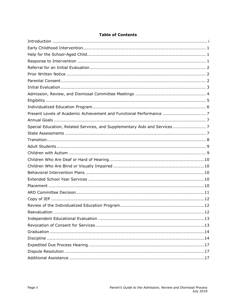| Present Levels of Academic Achievement and Functional Performance  7       |
|----------------------------------------------------------------------------|
|                                                                            |
| Special Education, Related Services, and Supplementary Aids and Services 7 |
|                                                                            |
|                                                                            |
|                                                                            |
|                                                                            |
|                                                                            |
|                                                                            |
|                                                                            |
|                                                                            |
|                                                                            |
|                                                                            |
|                                                                            |
|                                                                            |
|                                                                            |
|                                                                            |
|                                                                            |
|                                                                            |
|                                                                            |
|                                                                            |
|                                                                            |
|                                                                            |

# **Table of Contents**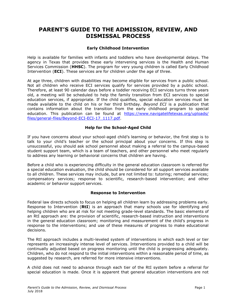# **PARENT'S GUIDE TO THE ADMISSION, REVIEW, AND DISMISSAL PROCESS**

# **Early Childhood Intervention**

<span id="page-4-0"></span>Help is available for families with infants and toddlers who have developmental delays. The agency in Texas that provides these early intervening services is the Health and Human Services Commission (**HHSC**). The program for very young children is called Early Childhood Intervention (**ECI**). These services are for children under the age of three.

At age three, children with disabilities may become eligible for services from a public school. Not all children who receive ECI services qualify for services provided by a public school. Therefore, at least 90 calendar days before a toddler receiving ECI services turns three years old, a meeting will be scheduled to help the family transition from ECI services to special education services, if appropriate. If the child qualifies, special education services must be made available to the child on his or her third birthday. *Beyond ECI* is a publication that contains information about the transition from the early childhood program to special education. This publication can be found at [https://www.navigatelifetexas.org/uploads/](https://www.navigatelifetexas.org/uploads/files/general-files/Beyond-ECI-ECI-17_1117.pdf) [files/general-files/Beyond-ECI-ECI-17\\_1117.pdf.](https://www.navigatelifetexas.org/uploads/files/general-files/Beyond-ECI-ECI-17_1117.pdf)

#### **Help for the School-Aged Child**

<span id="page-4-1"></span>If you have concerns about your school-aged child's learning or behavior, the first step is to talk to your child's teacher or the school principal about your concerns. If this step is unsuccessful, you should ask school personnel about making a referral to the campus-based student support team, which is a team of teachers, and other personnel who meet regularly to address any learning or behavioral concerns that children are having.

Before a child who is experiencing difficulty in the general education classroom is referred for a special education evaluation, the child should be considered for all support services available to all children. These services may include, but are not limited to: tutoring; remedial services; compensatory services; response to scientific, research-based intervention; and other academic or behavior support services.

#### **Response to Intervention**

<span id="page-4-2"></span>Federal law directs schools to focus on helping all children learn by addressing problems early. Response to Intervention (**RtI**) is an approach that many schools use for identifying and helping children who are at risk for not meeting grade-level standards. The basic elements of an RtI approach are: the provision of scientific, research-based instruction and interventions in the general education classroom; monitoring and measurement of the child's progress in response to the interventions; and use of these measures of progress to make educational decisions.

The RtI approach includes a multi-leveled system of interventions in which each level or tier represents an increasingly intense level of services. Interventions provided to a child will be continually adjusted based on progress monitoring until the child is progressing adequately. Children, who do not respond to the initial interventions within a reasonable period of time, as suggested by research, are referred for more intensive interventions.

A child does not need to advance through each tier of the RtI system before a referral for special education is made. Once it is apparent that general education interventions are not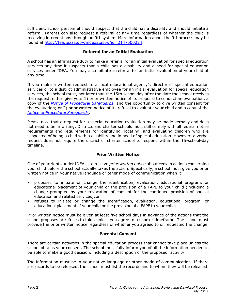sufficient, school personnel should suspect that the child has a disability and should initiate a referral. Parents can also request a referral at any time regardless of whether the child is receiving interventions through an RtI system. More information about the RtI process may be found at [http://tea.texas.gov/index2.aspx?id=2147500224.](http://tea.texas.gov/index2.aspx?id=2147500224)

# **Referral for an Initial Evaluation**

<span id="page-5-0"></span>A school has an affirmative duty to make a referral for an initial evaluation for special education services any time it suspects that a child has a disability and a need for special education services under IDEA. You may also initiate a referral for an initial evaluation of your child at any time.

If you make a written request to a local educational agency's director of special education services or to a district administrative employee for an initial evaluation for special education services, the school must, not later than the 15th school day after the date the school receives the request, either give you: 1) prior written notice of its proposal to conduct an evaluation, a copy of the *[Notice of Procedural Safeguards](http://framework.esc18.net/)*, and the opportunity to give written consent for the evaluation; or 2) prior written notice of its refusal to evaluate your child and a copy of the *[Notice of Procedural](http://framework.esc18.net/) Safeguards*.

Please note that a request for a special education evaluation may be made verbally and does not need to be in writing. Districts and charter schools must still comply with all federal notice requirements and requirements for identifying, locating, and evaluating children who are suspected of being a child with a disability and in need of special education. However, a verbal request does not require the district or charter school to respond within the 15-school-day timeline.

#### **Prior Written Notice**

<span id="page-5-1"></span>One of your rights under IDEA is to receive *prior written notice* about certain actions concerning your child before the school actually takes the action. Specifically, a school must give you prior written notice in your native language or other mode of communication when it:

- proposes to initiate or change the identification, evaluation, educational program, or educational placement of your child or the provision of a FAPE to your child (including a change prompted by your revocation of consent for the continued provision of special education and related services);or
- refuses to initiate or change the identification, evaluation, educational program, or educational placement of your child or the provision of a FAPE to your child.

Prior written notice must be given at least five school days in advance of the actions that the school proposes or refuses to take, unless you agree to a shorter timeframe. The school must provide the prior written notice regardless of whether you agreed to or requested the change.

#### **Parental Consent**

<span id="page-5-2"></span>There are certain activities in the special education process that cannot take place unless the school obtains your consent. The school must fully inform you of all the information needed to be able to make a good decision, including a description of the proposed activity.

The information must be in your native language or other mode of communication. If there are records to be released, the school must list the records and to whom they will be released.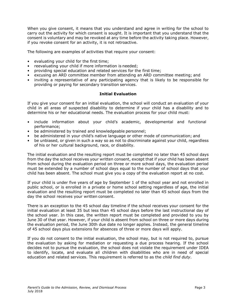When you give consent, it means that you understand and agree in writing for the school to carry out the activity for which consent is sought. It is important that you understand that the consent is voluntary and may be revoked at any time before the activity taking place. However, if you revoke consent for an activity, it is not retroactive.

The following are examples of activities that require your consent:

- evaluating your child for the first time;
- reevaluating your child if more information is needed;
- providing special education and related services for the first time;
- excusing an ARD committee member from attending an ARD committee meeting; and
- inviting a representative of any participating agency that is likely to be responsible for providing or paying for secondary transition services.

# **Initial Evaluation**

<span id="page-6-0"></span>If you give your consent for an initial evaluation, the school will conduct an evaluation of your child in all areas of suspected disability to determine if your child has a disability and to determine his or her educational needs. The evaluation process for your child must:

- include information about your child's academic, developmental and functional performance;
- be administered by trained and knowledgeable personnel;
- be administered in your child's native language or other mode of communication; and
- be unbiased, or given in such a way so as not to discriminate against your child, regardless of his or her cultural background, race, or disability.

The initial evaluation and the resulting report must be completed no later than 45 school days from the day the school receives your written consent, except that if your child has been absent from school during the evaluation period on three or more school days, the evaluation period must be extended by a number of school days equal to the number of school days that your child has been absent. The school must give you a copy of the evaluation report at no cost.

If your child is under five years of age by September 1 of the school year and not enrolled in public school, or is enrolled in a private or home school setting regardless of age, the initial evaluation and the resulting report must be completed no later than 45 school days from the day the school receives your written consent.

There is an exception to the 45 school day timeline if the school receives your consent for the initial evaluation at least 35 but less than 45 school days before the last instructional day of the school year. In this case, the written report must be completed and provided to you by June 30 of that year. However, if your child is absent from school on three or more days during the evaluation period, the June 30th due date no longer applies. Instead, the general timeline of 45 school days plus extensions for absences of three or more days will apply.

If you do not consent to the initial evaluation, the school may, but is not required to, pursue the evaluation by asking for mediation or requesting a due process hearing. If the school decides not to pursue the evaluation, the school does not violate the requirement under IDEA to identify, locate, and evaluate all children with disabilities who are in need of special education and related services. This requirement is referred to as the *child find duty*.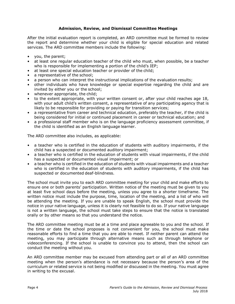# **Admission, Review, and Dismissal Committee Meetings**

<span id="page-7-0"></span>After the initial evaluation report is completed, an ARD committee must be formed to review the report and determine whether your child is eligible for special education and related services. The ARD committee members include the following:

- you, the parent;
- at least one regular education teacher of the child who must, when possible, be a teacher who is responsible for implementing a portion of the child's IEP;
- at least one special education teacher or provider of the child;
- a representative of the school:
- a person who can interpret the instructional implications of the evaluation results;
- other individuals who have knowledge or special expertise regarding the child and are invited by either you or the school;
- whenever appropriate, the child;
- to the extent appropriate, with your written consent or, after your child reaches age 18, with your adult child's written consent, a representative of any participating agency that is likely to be responsible for providing or paying for transition services;
- a representative from career and technical education, preferably the teacher, if the child is being considered for initial or continued placement in career or technical education; and
- a professional staff member who is on the language proficiency assessment committee, if the child is identified as an English language learner.

The ARD committee also includes, as applicable:

- a teacher who is certified in the education of students with auditory impairments, if the child has a suspected or documented auditory impairment;
- a teacher who is certified in the education of students with visual impairments, if the child has a suspected or documented visual impairment; or
- a teacher who is certified in the education of students with visual impairments and a teacher who is certified in the education of students with auditory impairments, if the child has suspected or documented deaf-blindness.

The school must invite you to each ARD committee meeting for your child and make efforts to ensure one or both parents' participation. Written notice of the meeting must be given to you at least five school days before the meeting, unless you agree to a shorter timeframe. The written notice must include the purpose, time, location of the meeting, and a list of who will be attending the meeting. If you are unable to speak English, the school must provide the notice in your native language, unless it is clearly not feasible to do so. If your native language is not a written language, the school must take steps to ensure that the notice is translated orally or by other means so that you understand the notice.

The ARD committee meeting must be at a time and place agreeable to you and the school. If the time or date the school proposes is not convenient for you, the school must make reasonable efforts to find a time that you are able to meet. If neither parent can attend the meeting, you may participate through alternative means such as through telephone or videoconferencing. If the school is unable to convince you to attend, then the school can conduct the meeting without you.

An ARD committee member may be excused from attending part or all of an ARD committee meeting when the person's attendance is not necessary because the person's area of the curriculum or related service is not being modified or discussed in the meeting. You must agree in writing to the excusal.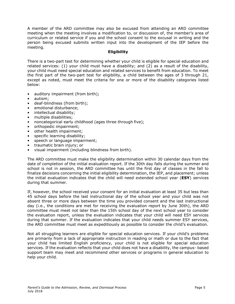A member of the ARD committee may also be excused from attending an ARD committee meeting when the meeting involves a modification to, or discussion of, the member's area of curriculum or related service if you and the school consent to the excusal in writing and the person being excused submits written input into the development of the IEP before the meeting.

# **Eligibility**

<span id="page-8-0"></span>There is a two-part test for determining whether your child is eligible for special education and related services: (1) your child must have a disability; and (2) as a result of the disability, your child must need special education and related services to benefit from education. To meet the first part of the two-part test for eligibility, a child between the ages of 3 through 21, except as noted, must meet the criteria for one or more of the disability categories listed below:

- auditory impairment (from birth);
- autism;
- deaf-blindness (from birth);
- emotional disturbance;
- intellectual disability;
- multiple disabilities;
- noncategorical early childhood (ages three through five);
- orthopedic impairment;
- other health impairment;
- specific learning disability;
- speech or language impairment;
- traumatic brain injury; or
- visual impairment (including blindness from birth).

The ARD committee must make the eligibility determination within 30 calendar days from the date of completion of the initial evaluation report. If the 30th day falls during the summer and school is not in session, the ARD committee has until the first day of classes in the fall to finalize decisions concerning the initial eligibility determination, the IEP, and placement; unless the initial evaluation indicates that the child will need extended school year (**ESY**) services during that summer.

If, however, the school received your consent for an initial evaluation at least 35 but less than 45 school days before the last instructional day of the school year and your child was not absent three or more days between the time you provided consent and the last instructional day (i.e., the conditions are met for receiving the evaluation report by June 30th), the ARD committee must meet not later than the 15th school day of the next school year to consider the evaluation report, unless the evaluation indicates that your child will need ESY services during that summer. If the evaluation indicates that your child needs summer ESY services, the ARD committee must meet as expeditiously as possible to consider the child's evaluation.

Not all struggling learners are eligible for special education services. If your child's problems are primarily from a lack of appropriate instruction in reading or math or due to the fact that your child has limited English proficiency, your child is not eligible for special education services. If the evaluation reflects that your child does not have a disability, the campus- based support team may meet and recommend other services or programs in general education to help your child.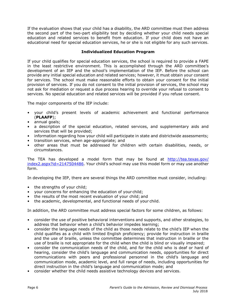If the evaluation shows that your child has a disability, the ARD committee must then address the second part of the two-part eligibility test by deciding whether your child needs special education and related services to benefit from education. If your child does not have an educational need for special education services, he or she is not eligible for any such services.

# **Individualized Education Program**

<span id="page-9-0"></span>If your child qualifies for special education services, the school is required to provide a FAPE in the least restrictive environment. This is accomplished through the ARD committee's development of an IEP and the school's implementation of the IEP. Before the school can provide any initial special education and related services; however, it must obtain your consent for services. The school must make reasonable efforts to obtain your consent for the initial provision of services. If you do not consent to the initial provision of services, the school may not ask for mediation or request a due process hearing to override your refusal to consent to services. No special education and related services will be provided if you refuse consent.

The major components of the IEP include:

- your child's present levels of academic achievement and functional performance (**PLAAFP**);
- annual goals;
- a description of the special education, related services, and supplementary aids and services that will be provided;
- information regarding how your child will participate in state and districtwide assessments;
- transition services, when age-appropriate; and
- other areas that must be addressed for children with certain disabilities, needs, or circumstances.

The TEA has developed a model form that may be found at [http://tea.texas.gov/](http://tea.texas.gov/index2.aspx?id=2147504486) [index2.aspx?id=2147504486](http://tea.texas.gov/index2.aspx?id=2147504486). Your child's school may use this model form or may use another form.

In developing the IEP, there are several things the ARD committee must consider, including:

- the strengths of your child;
- your concerns for enhancing the education of your child;
- the results of the most recent evaluation of your child; and
- the academic, developmental, and functional needs of your child.

In addition, the ARD committee must address special factors for some children, as follows:

- consider the use of positive behavioral interventions and supports, and other strategies, to address that behavior when a child's behavior impedes learning;
- consider the language needs of the child as those needs relate to the child's IEP when the child qualifies as a child with limited English proficiency; provide for instruction in braille and the use of braille, unless the committee determines that instruction in braille or the use of braille is not appropriate for the child when the child is blind or visually impaired;
- consider the communication needs of the child, and for the child who is deaf or hard of hearing, consider the child's language and communication needs, opportunities for direct communications with peers and professional personnel in the child's language and communication mode, academic level, and full range of needs, including opportunities for direct instruction in the child's language and communication mode; and
- consider whether the child needs assistive technology devices and services.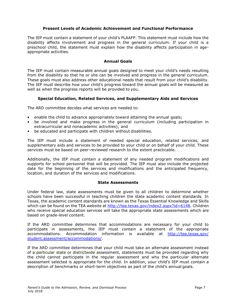# **Present Levels of Academic Achievement and Functional Performance**

<span id="page-10-0"></span>The IEP must contain a statement of your child's PLAAFP. This statement must include how the disability affects involvement and progress in the general curriculum. If your child is a preschool child, the statement must explain how the disability affects participation in ageappropriate activities.

# **Annual Goals**

<span id="page-10-1"></span>The IEP must contain measurable annual goals designed to meet your child's needs resulting from the disability so that he or she can be involved and progress in the general curriculum. These goals must also address other educational needs that result from your child's disability. The IEP must describe how your child's progress toward the annual goals will be measured as well as when the progress reports will be provided to you.

#### **Special Education, Related Services, and Supplementary Aids and Services**

<span id="page-10-2"></span>The ARD committee decides what services are needed to:

- enable the child to advance appropriately toward attaining the annual goals;
- be involved and make progress in the general curriculum (including participation in extracurricular and nonacademic activities); and
- be educated and participate with children without disabilities.

The IEP must include a statement of needed special education, related services, and supplementary aids and services to be provided to your child or on behalf of your child. These services must be based on peer-reviewed research to the extent practicable.

Additionally, the IEP must contain a statement of any needed program modifications and supports for school personnel that will be provided. The IEP must also include the projected date for the beginning of the services and modifications and the anticipated frequency, location, and duration of the services and modifications.

#### **State Assessments**

<span id="page-10-3"></span>Under federal law, state assessments must be given to all children to determine whether schools have been successful in teaching children the state academic content standards. In Texas, the academic content standards are known as the Texas Essential Knowledge and Skills which can be found on the TEA website at [http://tea.texas.gov/index2.aspx?id=6148.](http://tea.texas.gov/index2.aspx?id=6148) Children who receive special education services will take the appropriate state assessments which are based on grade-level content.

If the ARD committee determines that accommodations are necessary for your child to participate in assessments, the IEP must contain a statement of the appropriate accommodations. Accommodation information is available at [http://tea.texas.gov/](http://tea.texas.gov/student.assessment/accommodations/) [student.assessment/accommodations/.](http://tea.texas.gov/student.assessment/accommodations/)

If the ARD committee determines that your child must take an alternate assessment instead of a particular state or districtwide assessment, statements must be provided regarding why the child cannot participate in the regular assessment and why the particular alternate assessment selected is appropriate for the child. In addition, your child's IEP must contain a description of benchmarks or short-term objectives as part of the child's annual goals.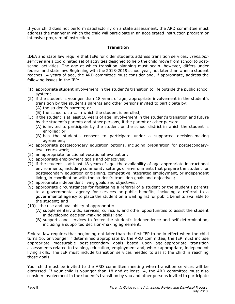If your child does not perform satisfactorily on a state assessment, the ARD committee must address the manner in which the child will participate in an accelerated instruction program or intensive program of instruction.

# **Transition**

<span id="page-11-0"></span>IDEA and state law require that IEPs for older students address transition services. *Transition services* are a coordinated set of activities designed to help the child move from school to postschool activities. The age at which transition planning must begin, however, differs under federal and state law. Beginning with the 2018-2019 school year, not later than when a student reaches 14 years of age, the ARD committee must consider and, if appropriate, address the following issues in the IEP:

- (1) appropriate student involvement in the student's transition to life outside the public school system;
- (2) if the student is younger than 18 years of age, appropriate involvement in the student's transition by the student's parents and other persons invited to participate by:
	- (A) the student's parents; or
	- (B) the school district in which the student is enrolled;
- (3) if the student is at least 18 years of age, involvement in the student's transition and future by the student's parents and other persons, if the parent or other person:
	- (A) is invited to participate by the student or the school district in which the student is enrolled; or
	- (B) has the student's consent to participate under a supported decision-making agreement;
- (4) appropriate postsecondary education options, including preparation for postsecondarylevel coursework;
- (5) an appropriate functional vocational evaluation;
- (6) appropriate employment goals and objectives;
- (7) if the student is at least 18 years of age, the availability of age-appropriate instructional environments, including community settings or environments that prepare the student for postsecondary education or training, competitive integrated employment, or independent living, in coordination with the student's transition goals and objectives;
- (8) appropriate independent living goals and objectives;
- (9) appropriate circumstances for facilitating a referral of a student or the student's parents to a governmental agency for services or public benefits, including a referral to a governmental agency to place the student on a waiting list for public benefits available to the student; and
- (10) the use and availability of appropriate:
	- (A) supplementary aids, services, curricula, and other opportunities to assist the student in developing decision-making skills; and
	- (B) supports and services to foster the student's independence and self-determination, including a supported decision-making agreement.

Federal law requires that beginning not later than the first IEP to be in effect when the child turns 16, or younger if determined appropriate by the ARD committee, the IEP must include appropriate measurable post-secondary goals based upon age-appropriate transition assessments related to training, education, employment and, where appropriate, independent living skills. The IEP must include transition services needed to assist the child in reaching those goals.

Your child must be invited to the ARD committee meeting when transition services will be discussed. If your child is younger than 18 and at least 14, the ARD committee must also consider involvement in the student's transition by you and other persons invited to participate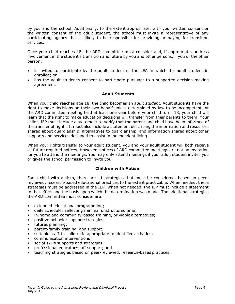by you and the school. Additionally, to the extent appropriate, with your written consent or the written consent of the adult student, the school must invite a representative of any participating agency that is likely to be responsible for providing or paying for transition services.

Once your child reaches 18, the ARD committee must consider and, if appropriate, address involvement in the student's transition and future by you and other persons, if you or the other person:

- is invited to participate by the adult student or the LEA in which the adult student in enrolled; or
- has the adult student's consent to participate pursuant to a supported decision-making agreement.

#### **Adult Students**

<span id="page-12-0"></span>When your child reaches age 18, the child becomes an *adult student*. Adult students have the right to make decisions on their own behalf unless determined by law to be incompetent. At the ARD committee meeting held at least one year before your child turns 18, your child will learn that the right to make education decisions will transfer from their parents to them. Your child's IEP must include a statement to verify that the parent and child have been informed of the transfer of rights. It must also include a statement describing the information and resources shared about guardianship, alternatives to guardianship, and information shared about other supports and services designed to assist in independent living.

When your rights transfer to your adult student, you and your adult student will both receive all future required notices. However, notices of ARD committee meetings are not an invitation for you to attend the meetings. You may only attend meetings if your adult student invites you or gives the school permission to invite you.

#### **Children with Autism**

<span id="page-12-1"></span>For a child with autism, there are 11 strategies that must be considered, based on peerreviewed, research-based educational practices to the extent practicable. When needed, these strategies must be addressed in the IEP. When not needed, the IEP must include a statement to that effect and the basis upon which the determination was made. The additional strategies the ARD committee must consider are:

- extended educational programming;
- daily schedules reflecting minimal unstructured time;
- in-home and community-based training, or viable alternatives;
- positive behavior support strategies;
- futures planning;
- parent/family training, and support;
- suitable staff-to-child ratio appropriate to identified activities;
- communication interventions;
- social skills supports and strategies;
- professional educator/staff support; and
- teaching strategies based on peer-reviewed, research-based practices.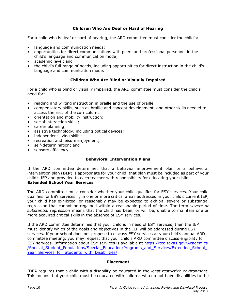# **Children Who Are Deaf or Hard of Hearing**

<span id="page-13-0"></span>For a child who is deaf or hard of hearing, the ARD committee must consider the child's:

- language and communication needs:
- opportunities for direct communications with peers and professional personnel in the child's language and communication mode;
- academic level; and
- the child's full range of needs, including opportunities for direct instruction in the child's language and communication mode.

# **Children Who Are Blind or Visually Impaired**

<span id="page-13-1"></span>For a child who is blind or visually impaired, the ARD committee must consider the child's need for:

- reading and writing instruction in braille and the use of braille;
- compensatory skills, such as braille and concept development, and other skills needed to access the rest of the curriculum;
- orientation and mobility instruction;
- social interaction skills;
- career planning;
- assistive technology, including optical devices;
- independent living skills:
- recreation and leisure enjoyment;
- self-determination; and
- <span id="page-13-2"></span>• sensory efficiency.

# **Behavioral Intervention Plans**

If the ARD committee determines that a behavior improvement plan or a behavioral intervention plan (**BIP**) is appropriate for your child, that plan must be included as part of your child's IEP and provided to each teacher with responsibility for educating your child. **Extended School Year Services**

<span id="page-13-3"></span>The ARD committee must consider whether your child qualifies for ESY services. Your child qualifies for ESY services if, in one or more critical areas addressed in your child's current IEP, your child has exhibited, or reasonably may be expected to exhibit, severe or substantial regression that cannot be regained within a reasonable period of time. The term *severe or substantial regression* means that the child has been, or will be, unable to maintain one or more acquired critical skills in the absence of ESY services.

If the ARD committee determines that your child is in need of ESY services, then the IEP must identify which of the goals and objectives in the IEP will be addressed during ESY services. If your school does not propose to discuss ESY services at your child's annual ARD committee meeting, you may request that your child's ARD committee discuss eligibility for ESY services. Information about ESY services is available at [https://tea.texas.gov/Academics](https://tea.texas.gov/Academics/Special_Student_Populations/Special_Education/Programs_and_Services/Extended_School_Year_Services_for_Students_with_Disabilities/) [/Special\\_Student\\_Populations/Special\\_Education/Programs\\_and\\_Services/Extended\\_School\\_](https://tea.texas.gov/Academics/Special_Student_Populations/Special_Education/Programs_and_Services/Extended_School_Year_Services_for_Students_with_Disabilities/) Year Services for Students with Disabilities/.

#### **Placement**

<span id="page-13-4"></span>IDEA requires that a child with a disability be educated in the *least restrictive environment*. This means that your child must be educated with children who do not have disabilities to the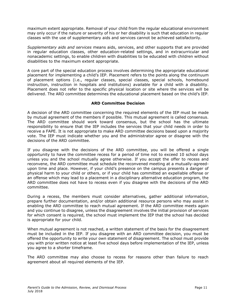maximum extent appropriate. Removal of your child from the regular educational environment may only occur if the nature or severity of his or her disability is such that education in regular classes with the use of supplementary aids and services cannot be achieved satisfactorily.

*Supplementary aids and services* means aids, services, and other supports that are provided in regular education classes, other education-related settings, and in extracurricular and nonacademic settings, to enable children with disabilities to be educated with children without disabilities to the maximum extent appropriate.

A core part of the special education process involves determining the appropriate educational placement for implementing a child's IEP. Placement refers to the points along the continuum of placement options (i.e., regular classes, special classes, special schools, homebound instruction, instruction in hospitals and institutions) available for a child with a disability. Placement does not refer to the specific physical location or site where the services will be delivered. The ARD committee determines the educational placement based on the child's IEP.

#### **ARD Committee Decision**

<span id="page-14-0"></span>A decision of the ARD committee concerning the required elements of the IEP must be made by mutual agreement of the members if possible. This mutual agreement is called consensus. The ARD committee should work toward consensus, but the school has the ultimate responsibility to ensure that the IEP includes the services that your child needs in order to receive a FAPE. It is not appropriate to make ARD committee decisions based upon a majority vote. The IEP must indicate whether you and the administrator agree or disagree with the decisions of the ARD committee.

If you disagree with the decisions of the ARD committee, you will be offered a single opportunity to have the committee recess for a period of time not to exceed 10 school days unless you and the school mutually agree otherwise. If you accept the offer to recess and reconvene, the ARD committee must schedule the reconvened meeting at a mutually-agreedupon time and place. However, if your child's presence on the campus presents a danger of physical harm to your child or others, or if your child has committed an expellable offense or an offense which may lead to a placement in a disciplinary alternative education program, the ARD committee does not have to recess even if you disagree with the decisions of the ARD committee.

During a recess, the members must consider alternatives, gather additional information, prepare further documentation, and/or obtain additional resource persons who may assist in enabling the ARD committee to reach mutual agreement. If the ARD committee meets again and you continue to disagree, unless the disagreement involves the initial provision of services for which consent is required, the school must implement the IEP that the school has decided is appropriate for your child.

When mutual agreement is not reached, a written statement of the basis for the disagreement must be included in the IEP. If you disagree with an ARD committee decision, you must be offered the opportunity to write your own statement of disagreement. The school must provide you with prior written notice at least five school days before implementation of the IEP, unless you agree to a shorter timeframe.

The ARD committee may also choose to recess for reasons other than failure to reach agreement about all required elements of the IEP.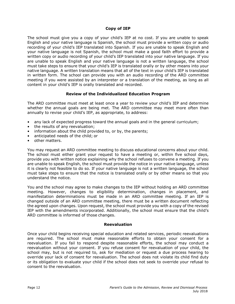# **Copy of IEP**

<span id="page-15-0"></span>The school must give you a copy of your child's IEP at no cost. If you are unable to speak English and your native language is Spanish, the school must provide a written copy or audio recording of your child's IEP translated into Spanish. If you are unable to speak English and your native language is not Spanish, the school must make a good faith effort to provide a written copy or audio recording of your child's IEP translated into your native language. If you are unable to speak English and your native language is not a written language, the school must take steps to ensure that your child's IEP is translated orally or by other means into your native language. A written translation means that all of the text in your child's IEP is translated in written form. The school can provide you with an audio recording of the ARD committee meeting if you were assisted by an interpreter or a translation of the meeting, as long as all content in your child's IEP is orally translated and recorded.

# **Review of the Individualized Education Program**

<span id="page-15-1"></span>The ARD committee must meet at least once a year to review your child's IEP and determine whether the annual goals are being met. The ARD committee may meet more often than annually to revise your child's IEP, as appropriate, to address:

- any lack of expected progress toward the annual goals and in the general curriculum;
- the results of any reevaluation;
- information about the child provided to, or by, the parents;
- anticipated needs of the child; or
- other matters.

You may request an ARD committee meeting to discuss educational concerns about your child. The school must either grant your request to have a meeting or, within five school days, provide you with written notice explaining why the school refuses to convene a meeting. If you are unable to speak English, the school must provide the notice in your native language, unless it is clearly not feasible to do so. If your native language is not a written language, the school must take steps to ensure that the notice is translated orally or by other means so that you understand the notice.

You and the school may agree to make changes to the IEP without holding an ARD committee meeting. However, changes to eligibility determination, changes in placement, and manifestation determinations must be made in an ARD committee meeting. If an IEP is changed outside of an ARD committee meeting, there must be a written document reflecting the agreed upon changes. Upon request, the school must provide you with a copy of the revised IEP with the amendments incorporated. Additionally, the school must ensure that the child's ARD committee is informed of those changes.

#### **Reevaluation**

<span id="page-15-2"></span>Once your child begins receiving special education and related services, periodic reevaluations are required. The school must make reasonable efforts to obtain your consent for a reevaluation. If you fail to respond despite reasonable efforts, the school may conduct a reevaluation without your consent. If you refuse consent for reevaluation of your child, the school may, but is not required to, ask for mediation or request a due process hearing to override your lack of consent for reevaluation. The school does not violate its child find duty or its obligation to evaluate your child if the school does not seek to override your refusal to consent to the reevaluation.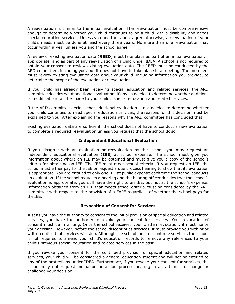A reevaluation is similar to the initial evaluation. The reevaluation must be comprehensive enough to determine whether your child continues to be a child with a disability and needs special education services. Unless you and the school agree otherwise, a reevaluation of your child's needs must be done at least every three years. No more than one reevaluation may occur within a year unless you and the school agree.

A review of existing evaluation data (**REED**) must take place as part of an initial evaluation, if appropriate, and as part of any reevaluation of a child under IDEA. A school is not required to obtain your consent to review existing evaluation data. The REED must be conducted by the ARD committee, including you, but it does not have to take place in a meeting. The members must review existing evaluation data about your child, including information you provide, to determine the scope of the evaluation or reevaluation.

If your child has already been receiving special education and related services, the ARD committee decides what additional evaluation, if any, is needed to determine whether additions or modifications will be made to your child's special education and related services.

If the ARD committee decides that additional evaluation is not needed to determine whether your child continues to need special education services, the reasons for this decision must be explained to you. After explaining the reasons why the ARD committee has concluded that

existing evaluation data are sufficient, the school does not have to conduct a new evaluation to complete a required reevaluation unless you request that the school do so.

#### **Independent Educational Evaluation**

<span id="page-16-0"></span>If you disagree with an evaluation or reevaluation by the school, you may request an independent educational evaluation (**IEE**) at school expense. The school must give you information about where an IEE may be obtained and must give you a copy of the school's criteria for obtaining an IEE. The IEE must meet school criteria. If you request an IEE, the school must either pay for the IEE or request a due process hearing to show that its evaluation is appropriate. You are entitled to only one IEE at public expense each time the school conducts an evaluation. If the school requests a hearing and the hearing officer decides that the school's evaluation is appropriate, you still have the right to an IEE, but not at the school's expense. Information obtained from an IEE that meets school criteria must be considered by the ARD committee with respect to the provision of a FAPE regardless of whether the school pays for the IEE.

#### **Revocation of Consent for Services**

<span id="page-16-1"></span>Just as you have the authority to consent to the initial provision of special education and related services, you have the authority to revoke your consent for services. Your revocation of consent must be in writing. Once the school receives your written revocation, it must honor your decision. However, before the school discontinues services, it must provide you with prior written notice that services will stop. Although the school must discontinue services, the school is not required to amend your child's education records to remove any references to your child's previous special education and related services in the past.

If you revoke your consent for the continued provision of special education and related services, your child will be considered a general education student and will not be entitled to any of the protections under IDEA. Furthermore, if you revoke your consent for services, the school may not request mediation or a due process hearing in an attempt to change or challenge your decision.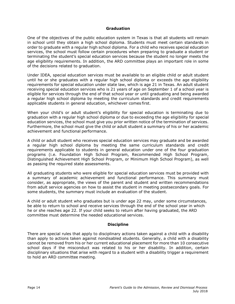#### **Graduation**

<span id="page-17-0"></span>One of the objectives of the public education system in Texas is that all students will remain in school until they obtain a high school diploma. Students must meet certain standards in order to graduate with a regular high school diploma. For a child who receives special education services, the school must follow certain procedures when preparing to graduate a student or terminating the student's special education services because the student no longer meets the age eligibility requirements. In addition, the ARD committee plays an important role in some of the decisions related to graduation.

Under IDEA, special education services must be available to an eligible child or adult student until he or she graduates with a regular high school diploma or exceeds the age eligibility requirements for special education under state law, which is age 21 in Texas. An adult student receiving special education services who is 21 years of age on September 1 of a school year is eligible for services through the end of that school year or until graduating and being awarded a regular high school diploma by meeting the curriculum standards and credit requirements applicable students in general education, whichever comes first.

When your child's or adult student's eligibility for special education is terminating due to graduation with a regular high school diploma or due to exceeding the age eligibility for special education services, the school must give you prior written notice of the termination of services. Furthermore, the school must give the child or adult student a summary of his or her academic achievement and functional performance.

A child or adult student who receives special education services may graduate and be awarded a regular high school diploma by meeting the same curriculum standards and credit requirements applicable to students in general education under one of the four graduation programs (i.e. Foundation High School Program, Recommended High School Program, Distinguished Achievement High School Program, or Minimum High School Program), as well as passing the required state assessments.

All graduating students who were eligible for special education services must be provided with a summary of academic achievement and functional performance. This summary must consider, as appropriate, the views of the parent and student and written recommendations from adult service agencies on how to assist the student in meeting postsecondary goals. For some students, the summary must include an evaluation of the student.

A child or adult student who graduates but is under age 22 may, under some circumstances, be able to return to school and receive services through the end of the school year in which he or she reaches age 22. If your child seeks to return after having graduated, the ARD committee must determine the needed educational services.

#### **Discipline**

<span id="page-17-1"></span>There are special rules that apply to disciplinary actions taken against a child with a disability than apply to actions taken against nondisabled students. Generally, a child with a disability cannot be removed from his or her current educational placement for more than 10 consecutive school days if the misconduct was related to his or her disability. In addition, certain disciplinary situations that arise with regard to a student with a disability trigger a requirement to hold an ARD committee meeting.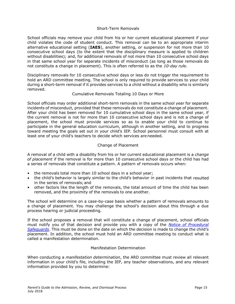#### Short-Term Removals

School officials may remove your child from his or her current educational placement if your child violates the code of student conduct. This removal can be to an appropriate interim alternative educational setting (**IAES**), another setting, or suspension for not more than 10 consecutive school days (to the extent that the disciplinary measure is applied to children without disabilities); and, for additional removals of not more than 10 consecutive school days in that same school year for separate incidents of misconduct (as long as those removals do not constitute a change in placement). This is often referred to as the *10-day rule*.

Disciplinary removals for 10 consecutive school days or less do not trigger the requirement to hold an ARD committee meeting. The school is only required to provide services to your child during a short-term removal if it provides services to a child without a disability who is similarly removed.

#### Cumulative Removals Totaling 10 Days or More

School officials may order additional short-term removals in the same school year for separate incidents of misconduct, provided that these removals do not constitute a change of placement. After your child has been removed for 10 cumulative school days in the same school year, if the current removal is not for more than 10 consecutive school days and is not a change of placement, the school must provide services so as to enable your child to continue to participate in the general education curriculum, although in another setting, and to progress toward meeting the goals set out in your child's IEP. School personnel must consult with at least one of your child's teachers to decide which services are needed.

#### Change of Placement

A removal of a child with a disability from his or her current educational placement is a *change of placement* if the removal is for more than 10 consecutive school days or the child has had a series of removals that constitute a pattern. A pattern of removals occurs when:

- the removals total more than 10 school days in a school year;
- the child's behavior is largely similar to the child's behavior in past incidents that resulted in the series of removals;and
- other factors like the length of the removals, the total amount of time the child has been removed, and the proximity of the removals to one another.

The school will determine on a case-by-case basis whether a pattern of removals amounts to a change of placement. You may challenge the school's decision about this through a due process hearing or judicial proceeding.

If the school proposes a removal that will constitute a change of placement, school officials must notify you of that decision and provide you with a copy of the *[Notice of Procedural](http://framework.esc18.net/) [Safeguards](http://framework.esc18.net/)*. This must be done on the date on which the decision is made to change the child's placement. In addition, the school must hold an ARD committee meeting to conduct what is called a manifestation determination.

#### Manifestation Determination

When conducting a *manifestation determination*, the ARD committee must review all relevant information in your child's file, including the IEP, any teacher observations, and any relevant information provided by you to determine: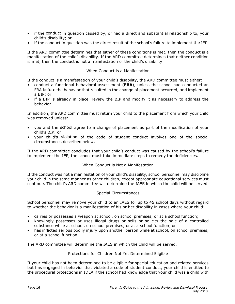- if the conduct in question caused by, or had a direct and substantial relationship to, your child's disability; or
- if the conduct in question was the direct result of the school's failure to implement the IEP.

If the ARD committee determines that either of these conditions is met, then the conduct is a manifestation of the child's disability. If the ARD committee determines that neither condition is met, then the conduct is not a manifestation of the child's disability.

#### When Conduct is a Manifestation

If the conduct is a manifestation of your child's disability, the ARD committee must either:

- conduct a functional behavioral assessment (**FBA**), unless the school had conducted an FBA before the behavior that resulted in the change of placement occurred, and implement a BIP; or
- if a BIP is already in place, review the BIP and modify it as necessary to address the behavior.

In addition, the ARD committee must return your child to the placement from which your child was removed unless:

- you and the school agree to a change of placement as part of the modification of your child's BIP; or
- your child's violation of the code of student conduct involves one of the special circumstances described below.

If the ARD committee concludes that your child's conduct was caused by the school's failure to implement the IEP, the school must take immediate steps to remedy the deficiencies.

#### When Conduct is Not a Manifestation

If the conduct was not a manifestation of your child's disability, school personnel may discipline your child in the same manner as other children, except appropriate educational services must continue. The child's ARD committee will determine the IAES in which the child will be served.

#### Special Circumstances

School personnel may remove your child to an IAES for up to 45 school days without regard to whether the behavior is a manifestation of his or her disability in cases where your child:

- carries or possesses a weapon at school, on school premises, or at a school function;
- knowingly possesses or uses illegal drugs or sells or solicits the sale of a controlled substance while at school, on school premises, or at a school function; or
- has inflicted serious bodily injury upon another person while at school, on school premises, or at a school function.

The ARD committee will determine the IAES in which the child will be served.

#### Protections for Children Not Yet Determined Eligible

If your child has not been determined to be eligible for special education and related services but has engaged in behavior that violated a code of student conduct, your child is entitled to the procedural protections in IDEA if the school had knowledge that your child was a child with